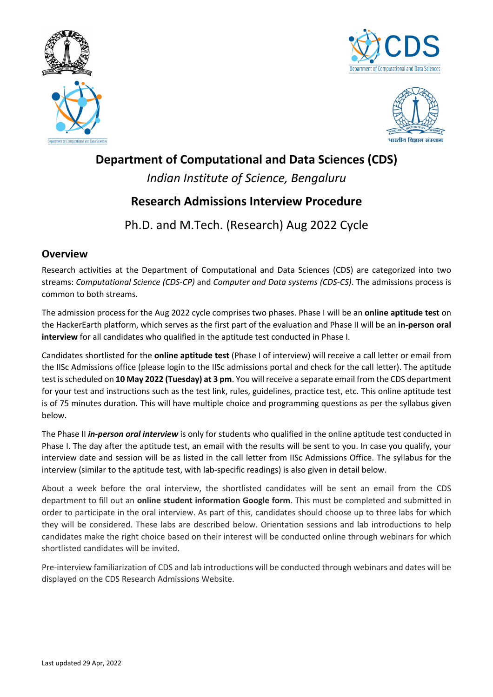





## **Department of Computational and Data Sciences (CDS)**

*Indian Institute of Science, Bengaluru*

# **Research Admissions Interview Procedure**

Ph.D. and M.Tech. (Research) Aug 2022 Cycle

### **Overview**

Research activities at the Department of Computational and Data Sciences (CDS) are categorized into two streams: *Computational Science (CDS-CP)* and *Computer and Data systems (CDS-CS)*. The admissions process is common to both streams.

The admission process for the Aug 2022 cycle comprises two phases. Phase I will be an **online aptitude test** on the HackerEarth platform, which serves as the first part of the evaluation and Phase II will be an **in-person oral interview** for all candidates who qualified in the aptitude test conducted in Phase I.

Candidates shortlisted for the **online aptitude test** (Phase I of interview) will receive a call letter or email from the IISc Admissions office (please login to the IISc admissions portal and check for the call letter). The aptitude test is scheduled on **10 May 2022 (Tuesday) at 3 pm**. You will receive a separate email from the CDS department for your test and instructions such as the test link, rules, guidelines, practice test, etc. This online aptitude test is of 75 minutes duration. This will have multiple choice and programming questions as per the syllabus given below.

The Phase II *in-person oral interview* is only for students who qualified in the online aptitude test conducted in Phase I. The day after the aptitude test, an email with the results will be sent to you. In case you qualify, your interview date and session will be as listed in the call letter from IISc Admissions Office. The syllabus for the interview (similar to the aptitude test, with lab-specific readings) is also given in detail below.

About a week before the oral interview, the shortlisted candidates will be sent an email from the CDS department to fill out an **online student information Google form**. This must be completed and submitted in order to participate in the oral interview. As part of this, candidates should choose up to three labs for which they will be considered. These labs are described below. Orientation sessions and lab introductions to help candidates make the right choice based on their interest will be conducted online through webinars for which shortlisted candidates will be invited.

Pre-interview familiarization of CDS and lab introductions will be conducted through webinars and dates will be displayed on the CDS Research Admissions Website.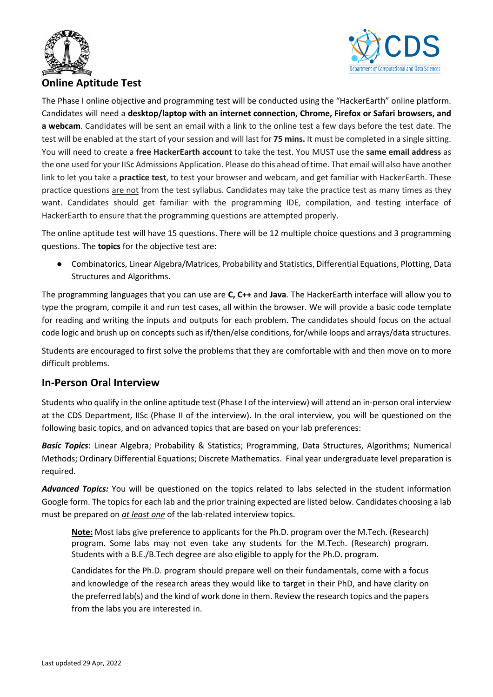



### **Online Aptitude Test**

The Phase I online objective and programming test will be conducted using the "HackerEarth" online platform. Candidates will need a **desktop/laptop with an internet connection, Chrome, Firefox or Safari browsers, and a webcam**. Candidates will be sent an email with a link to the online test a few days before the test date. The test will be enabled at the start of your session and will last for **75 mins.** It must be completed in a single sitting. You will need to create a **free HackerEarth account** to take the test. You MUST use the **same email address** as the one used for your IISc Admissions Application. Please do this ahead of time. That email will also have another link to let you take a **practice test**, to test your browser and webcam, and get familiar with HackerEarth. These practice questions are not from the test syllabus. Candidates may take the practice test as many times as they want. Candidates should get familiar with the programming IDE, compilation, and testing interface of HackerEarth to ensure that the programming questions are attempted properly.

The online aptitude test will have 15 questions. There will be 12 multiple choice questions and 3 programming questions. The **topics** for the objective test are:

● Combinatorics, Linear Algebra/Matrices, Probability and Statistics, Differential Equations, Plotting, Data Structures and Algorithms.

The programming languages that you can use are **C, C++** and **Java**. The HackerEarth interface will allow you to type the program, compile it and run test cases, all within the browser. We will provide a basic code template for reading and writing the inputs and outputs for each problem. The candidates should focus on the actual code logic and brush up on concepts such as if/then/else conditions, for/while loops and arrays/data structures.

Students are encouraged to first solve the problems that they are comfortable with and then move on to more difficult problems.

### **In-Person Oral Interview**

Students who qualify in the online aptitude test (Phase I of the interview) will attend an in-person oral interview at the CDS Department, IISc (Phase II of the interview). In the oral interview, you will be questioned on the following basic topics, and on advanced topics that are based on your lab preferences:

*Basic Topics*: Linear Algebra; Probability & Statistics; Programming, Data Structures, Algorithms; Numerical Methods; Ordinary Differential Equations; Discrete Mathematics. Final year undergraduate level preparation is required.

*Advanced Topics:* You will be questioned on the topics related to labs selected in the student information Google form. The topics for each lab and the prior training expected are listed below. Candidates choosing a lab must be prepared on *at least one* of the lab-related interview topics.

**Note:** Most labs give preference to applicants for the Ph.D. program over the M.Tech. (Research) program. Some labs may not even take any students for the M.Tech. (Research) program. Students with a B.E./B.Tech degree are also eligible to apply for the Ph.D. program.

Candidates for the Ph.D. program should prepare well on their fundamentals, come with a focus and knowledge of the research areas they would like to target in their PhD, and have clarity on the preferred lab(s) and the kind of work done in them. Review the research topics and the papers from the labs you are interested in.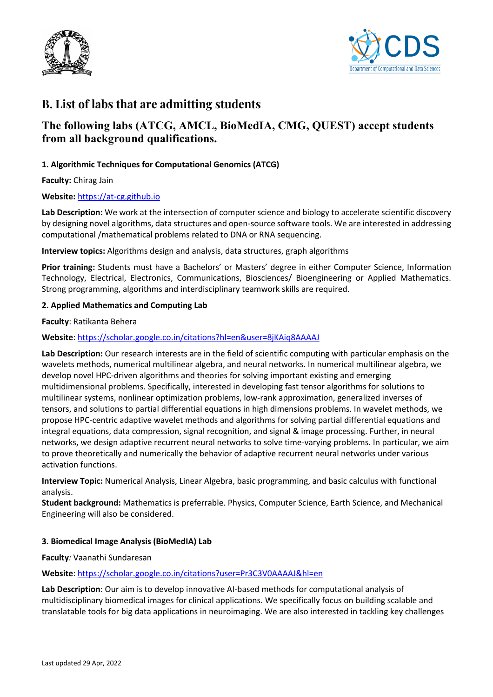



## **B. List of labs that are admitting students**

## **The following labs (ATCG, AMCL, BioMedIA, CMG, QUEST) accept students from all background qualifications.**

#### **1. Algorithmic Techniques for Computational Genomics (ATCG)**

**Faculty:** Chirag Jain

#### **Website:** https://at-cg.github.io

Lab Description: We work at the intersection of computer science and biology to accelerate scientific discovery by designing novel algorithms, data structures and open-source software tools. We are interested in addressing computational /mathematical problems related to DNA or RNA sequencing.

**Interview topics:** Algorithms design and analysis, data structures, graph algorithms

**Prior training:** Students must have a Bachelors' or Masters' degree in either Computer Science, Information Technology, Electrical, Electronics, Communications, Biosciences/ Bioengineering or Applied Mathematics. Strong programming, algorithms and interdisciplinary teamwork skills are required.

#### **2. Applied Mathematics and Computing Lab**

**Faculty**: Ratikanta Behera

#### **Website**: https://scholar.google.co.in/citations?hl=en&user=8jKAiq8AAAAJ

**Lab Description:** Our research interests are in the field of scientific computing with particular emphasis on the wavelets methods, numerical multilinear algebra, and neural networks. In numerical multilinear algebra, we develop novel HPC-driven algorithms and theories for solving important existing and emerging multidimensional problems. Specifically, interested in developing fast tensor algorithms for solutions to multilinear systems, nonlinear optimization problems, low-rank approximation, generalized inverses of tensors, and solutions to partial differential equations in high dimensions problems. In wavelet methods, we propose HPC-centric adaptive wavelet methods and algorithms for solving partial differential equations and integral equations, data compression, signal recognition, and signal & image processing. Further, in neural networks, we design adaptive recurrent neural networks to solve time-varying problems. In particular, we aim to prove theoretically and numerically the behavior of adaptive recurrent neural networks under various activation functions.

**Interview Topic:** Numerical Analysis, Linear Algebra, basic programming, and basic calculus with functional analysis.

**Student background:** Mathematics is preferrable. Physics, Computer Science, Earth Science, and Mechanical Engineering will also be considered.

#### **3. Biomedical Image Analysis (BioMedIA) Lab**

**Faculty***:* Vaanathi Sundaresan

**Website**: https://scholar.google.co.in/citations?user=Pr3C3V0AAAAJ&hl=en

**Lab Description**: Our aim is to develop innovative AI-based methods for computational analysis of multidisciplinary biomedical images for clinical applications. We specifically focus on building scalable and translatable tools for big data applications in neuroimaging. We are also interested in tackling key challenges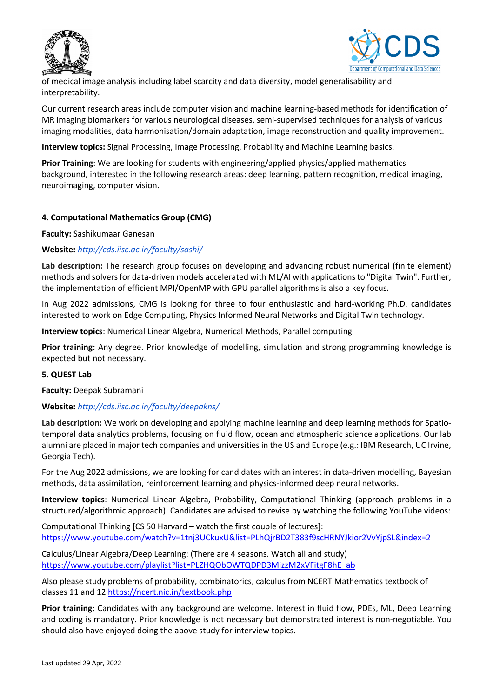



of medical image analysis including label scarcity and data diversity, model generalisability and interpretability.

Our current research areas include computer vision and machine learning-based methods for identification of MR imaging biomarkers for various neurological diseases, semi-supervised techniques for analysis of various imaging modalities, data harmonisation/domain adaptation, image reconstruction and quality improvement.

**Interview topics:** Signal Processing, Image Processing, Probability and Machine Learning basics.

**Prior Training**: We are looking for students with engineering/applied physics/applied mathematics background, interested in the following research areas: deep learning, pattern recognition, medical imaging, neuroimaging, computer vision.

#### **4. Computational Mathematics Group (CMG)**

**Faculty:** Sashikumaar Ganesan

#### **Website:** *http://cds.iisc.ac.in/faculty/sashi/*

**Lab description:** The research group focuses on developing and advancing robust numerical (finite element) methods and solvers for data-driven models accelerated with ML/AI with applications to "Digital Twin". Further, the implementation of efficient MPI/OpenMP with GPU parallel algorithms is also a key focus.

In Aug 2022 admissions, CMG is looking for three to four enthusiastic and hard-working Ph.D. candidates interested to work on Edge Computing, Physics Informed Neural Networks and Digital Twin technology.

**Interview topics**: Numerical Linear Algebra, Numerical Methods, Parallel computing

**Prior training:** Any degree. Prior knowledge of modelling, simulation and strong programming knowledge is expected but not necessary.

#### **5. QUEST Lab**

**Faculty:** Deepak Subramani

#### **Website:** *http://cds.iisc.ac.in/faculty/deepakns/*

**Lab description:** We work on developing and applying machine learning and deep learning methods for Spatiotemporal data analytics problems, focusing on fluid flow, ocean and atmospheric science applications. Our lab alumni are placed in major tech companies and universities in the US and Europe (e.g.: IBM Research, UC Irvine, Georgia Tech).

For the Aug 2022 admissions, we are looking for candidates with an interest in data-driven modelling, Bayesian methods, data assimilation, reinforcement learning and physics-informed deep neural networks.

**Interview topics**: Numerical Linear Algebra, Probability, Computational Thinking (approach problems in a structured/algorithmic approach). Candidates are advised to revise by watching the following YouTube videos:

Computational Thinking [CS 50 Harvard – watch the first couple of lectures]: https://www.youtube.com/watch?v=1tnj3UCkuxU&list=PLhQjrBD2T383f9scHRNYJkior2VvYjpSL&index=2

Calculus/Linear Algebra/Deep Learning: (There are 4 seasons. Watch all and study) https://www.youtube.com/playlist?list=PLZHQObOWTQDPD3MizzM2xVFitgF8hE\_ab

Also please study problems of probability, combinatorics, calculus from NCERT Mathematics textbook of classes 11 and 12 https://ncert.nic.in/textbook.php

**Prior training:** Candidates with any background are welcome. Interest in fluid flow, PDEs, ML, Deep Learning and coding is mandatory. Prior knowledge is not necessary but demonstrated interest is non-negotiable. You should also have enjoyed doing the above study for interview topics.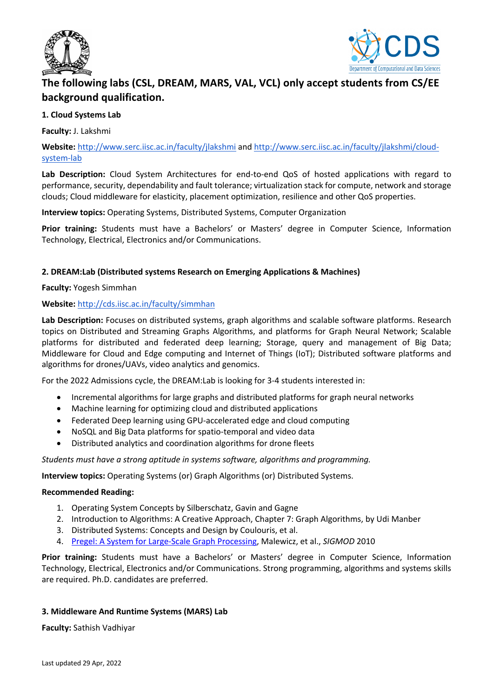



## **The following labs (CSL, DREAM, MARS, VAL, VCL) only accept students from CS/EE background qualification.**

#### **1. Cloud Systems Lab**

**Faculty:** J. Lakshmi

**Website:** http://www.serc.iisc.ac.in/faculty/jlakshmi and http://www.serc.iisc.ac.in/faculty/jlakshmi/cloudsystem-lab

**Lab Description:** Cloud System Architectures for end-to-end QoS of hosted applications with regard to performance, security, dependability and fault tolerance; virtualization stack for compute, network and storage clouds; Cloud middleware for elasticity, placement optimization, resilience and other QoS properties.

**Interview topics:** Operating Systems, Distributed Systems, Computer Organization

**Prior training:** Students must have a Bachelors' or Masters' degree in Computer Science, Information Technology, Electrical, Electronics and/or Communications.

#### **2. DREAM:Lab (Distributed systems Research on Emerging Applications & Machines)**

**Faculty:** Yogesh Simmhan

#### **Website:** http://cds.iisc.ac.in/faculty/simmhan

**Lab Description:** Focuses on distributed systems, graph algorithms and scalable software platforms. Research topics on Distributed and Streaming Graphs Algorithms, and platforms for Graph Neural Network; Scalable platforms for distributed and federated deep learning; Storage, query and management of Big Data; Middleware for Cloud and Edge computing and Internet of Things (IoT); Distributed software platforms and algorithms for drones/UAVs, video analytics and genomics.

For the 2022 Admissions cycle, the DREAM:Lab is looking for 3-4 students interested in:

- Incremental algorithms for large graphs and distributed platforms for graph neural networks
- Machine learning for optimizing cloud and distributed applications
- Federated Deep learning using GPU-accelerated edge and cloud computing
- NoSQL and Big Data platforms for spatio-temporal and video data
- Distributed analytics and coordination algorithms for drone fleets

*Students must have a strong aptitude in systems software, algorithms and programming.*

**Interview topics:** Operating Systems (or) Graph Algorithms (or) Distributed Systems.

#### **Recommended Reading:**

- 1. Operating System Concepts by Silberschatz, Gavin and Gagne
- 2. Introduction to Algorithms: A Creative Approach, Chapter 7: Graph Algorithms, by Udi Manber
- 3. Distributed Systems: Concepts and Design by Coulouris, et al.
- 4. Pregel: A System for Large-Scale Graph Processing, Malewicz, et al., *SIGMOD* 2010

**Prior training:** Students must have a Bachelors' or Masters' degree in Computer Science, Information Technology, Electrical, Electronics and/or Communications. Strong programming, algorithms and systems skills are required. Ph.D. candidates are preferred.

#### **3. Middleware And Runtime Systems (MARS) Lab**

**Faculty:** Sathish Vadhiyar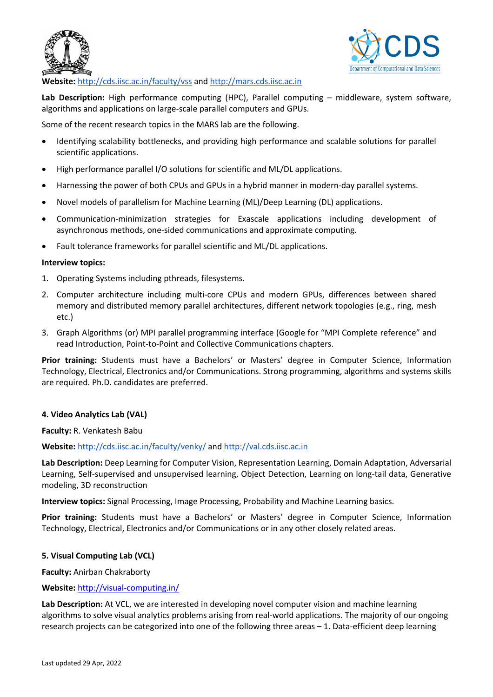



#### **Website:** http://cds.iisc.ac.in/faculty/vss and http://mars.cds.iisc.ac.in

Lab Description: High performance computing (HPC), Parallel computing – middleware, system software, algorithms and applications on large-scale parallel computers and GPUs.

Some of the recent research topics in the MARS lab are the following.

- Identifying scalability bottlenecks, and providing high performance and scalable solutions for parallel scientific applications.
- High performance parallel I/O solutions for scientific and ML/DL applications.
- Harnessing the power of both CPUs and GPUs in a hybrid manner in modern-day parallel systems.
- Novel models of parallelism for Machine Learning (ML)/Deep Learning (DL) applications.
- Communication-minimization strategies for Exascale applications including development of asynchronous methods, one-sided communications and approximate computing.
- Fault tolerance frameworks for parallel scientific and ML/DL applications.

#### **Interview topics:**

- 1. Operating Systems including pthreads, filesystems.
- 2. Computer architecture including multi-core CPUs and modern GPUs, differences between shared memory and distributed memory parallel architectures, different network topologies (e.g., ring, mesh etc.)
- 3. Graph Algorithms (or) MPI parallel programming interface (Google for "MPI Complete reference" and read Introduction, Point-to-Point and Collective Communications chapters.

**Prior training:** Students must have a Bachelors' or Masters' degree in Computer Science, Information Technology, Electrical, Electronics and/or Communications. Strong programming, algorithms and systems skills are required. Ph.D. candidates are preferred.

#### **4. Video Analytics Lab (VAL)**

**Faculty:** R. Venkatesh Babu

#### **Website:** http://cds.iisc.ac.in/faculty/venky/ and http://val.cds.iisc.ac.in

**Lab Description:** Deep Learning for Computer Vision, Representation Learning, Domain Adaptation, Adversarial Learning, Self-supervised and unsupervised learning, Object Detection, Learning on long-tail data, Generative modeling, 3D reconstruction

**Interview topics:** Signal Processing, Image Processing, Probability and Machine Learning basics.

**Prior training:** Students must have a Bachelors' or Masters' degree in Computer Science, Information Technology, Electrical, Electronics and/or Communications or in any other closely related areas.

#### **5. Visual Computing Lab (VCL)**

**Faculty:** Anirban Chakraborty

#### **Website:** http://visual-computing.in/

**Lab Description:** At VCL, we are interested in developing novel computer vision and machine learning algorithms to solve visual analytics problems arising from real-world applications. The majority of our ongoing research projects can be categorized into one of the following three areas – 1. Data-efficient deep learning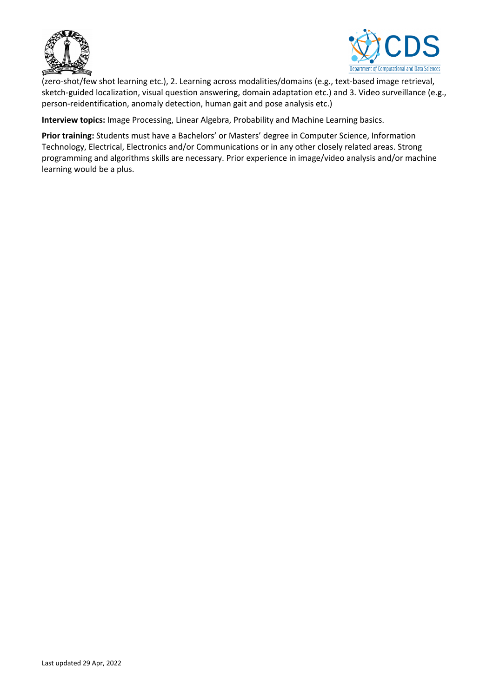



(zero-shot/few shot learning etc.), 2. Learning across modalities/domains (e.g., text-based image retrieval, sketch-guided localization, visual question answering, domain adaptation etc.) and 3. Video surveillance (e.g., person-reidentification, anomaly detection, human gait and pose analysis etc.)

**Interview topics:** Image Processing, Linear Algebra, Probability and Machine Learning basics.

**Prior training:** Students must have a Bachelors' or Masters' degree in Computer Science, Information Technology, Electrical, Electronics and/or Communications or in any other closely related areas. Strong programming and algorithms skills are necessary. Prior experience in image/video analysis and/or machine learning would be a plus.